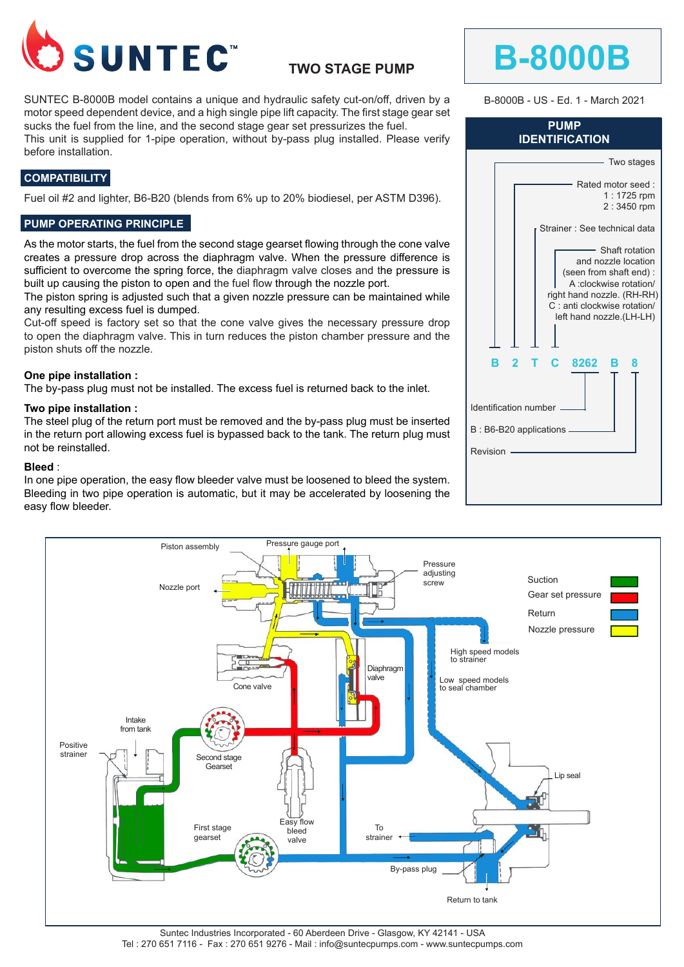

# **TWO STAGE PUMP**

SUNTEC B-8000B model contains a unique and hydraulic safety cut-on/off, driven by a motor speed dependent device, and a high single pipe lift capacity. The first stage gear set sucks the fuel from the line, and the second stage gear set pressurizes the fuel.

This unit is supplied for 1-pipe operation, without by-pass plug installed. Please verify before installation.

# **COMPATIBILITY**

Fuel oil #2 and lighter, B6-B20 (blends from 6% up to 20% biodiesel, per ASTM D396).

### **PUMP OPERATING PRINCIPLE**

As the motor starts, the fuel from the second stage gearset flowing through the cone valve creates a pressure drop across the diaphragm valve. When the pressure difference is sufficient to overcome the spring force, the diaphragm valve closes and the pressure is built up causing the piston to open and the fuel flow through the nozzle port.

The piston spring is adjusted such that a given nozzle pressure can be maintained while any resulting excess fuel is dumped.

Cut-off speed is factory set so that the cone valve gives the necessary pressure drop to open the diaphragm valve. This in turn reduces the piston chamber pressure and the piston shuts off the nozzle.

### **One pipe installation :**

The by-pass plug must not be installed. The excess fuel is returned back to the inlet.

#### **Two pipe installation :**

The steel plug of the return port must be removed and the by-pass plug must be inserted in the return port allowing excess fuel is bypassed back to the tank. The return plug must not be reinstalled.

#### **Bleed** :

In one pipe operation, the easy flow bleeder valve must be loosened to bleed the system. Bleeding in two pipe operation is automatic, but it may be accelerated by loosening the easy flow bleeder.



B-8000B - US - Ed. 1 - March 2021